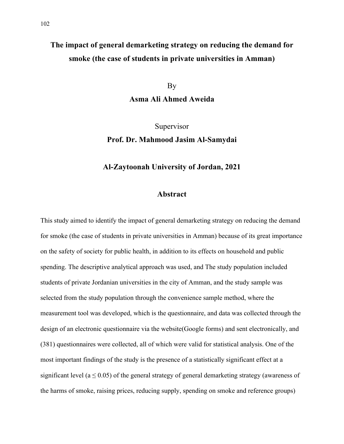## **The impact of general demarketing strategy on reducing the demand for smoke (the case of students in private universities in Amman)**

By

**Asma Ali Ahmed Aweida**

Supervisor

## **Prof. Dr. Mahmood Jasim Al-Samydai**

## **Al-Zaytoonah University of Jordan, 2021**

## **Abstract**

This study aimed to identify the impact of general demarketing strategy on reducing the demand for smoke (the case of students in private universities in Amman) because of its great importance on the safety of society for public health, in addition to its effects on household and public spending. The descriptive analytical approach was used, and The study population included students of private Jordanian universities in the city of Amman, and the study sample was selected from the study population through the convenience sample method, where the measurement tool was developed, which is the questionnaire, and data was collected through the design of an electronic questionnaire via the website(Google forms) and sent electronically, and (381) questionnaires were collected, all of which were valid for statistical analysis. One of the most important findings of the study is the presence of a statistically significant effect at a significant level ( $a \leq 0.05$ ) of the general strategy of general demarketing strategy (awareness of the harms of smoke, raising prices, reducing supply, spending on smoke and reference groups)